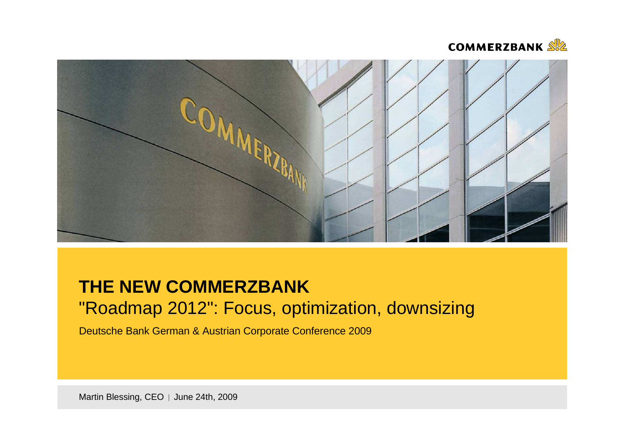



# **THE NEW COMMERZBANK**"Roadmap 2012": Focus, optimization, downsizing

Deutsche Bank German & Austrian Corporate Conference <sup>2009</sup>

Martin Blessing, CEO | June 24th, 2009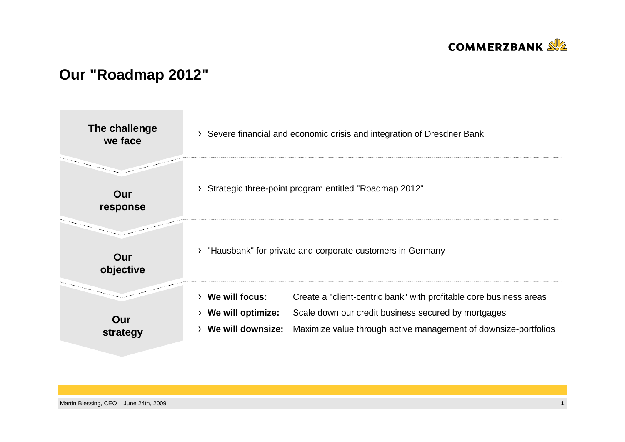

## **Our "Roadmap 2012"**

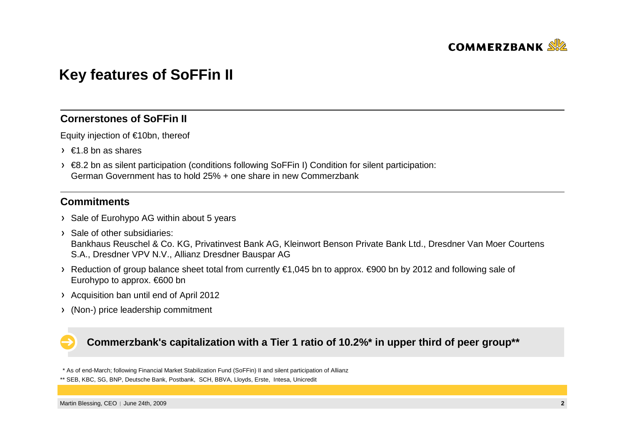

## **Key features of SoFFin II**

### **Cornerstones of SoFFin II**

Equity injection of €10bn, thereof

- $\rightarrow$   $\in$  1.8 bn as shares
- €8.2 bn as silent participation (conditions following SoFFin I) Condition for silent participation: German Government has to hold 25% + one share in new Commerzbank

### **Commitments**

- > Sale of Eurohypo AG within about 5 years
- > Sale of other subsidiaries: Bankhaus Reuschel & Co. KG, Privatinvest Bank AG, Kleinwort Benson Private Bank Ltd., Dresdner Van Moer CourtensS.A., Dresdner VPV N.V., Allianz Dresdner Bauspar AG
- Reduction of group balance sheet total from currently €1,045 bn to approx. €900 bn by 2012 and followingsale of Eurohypo to approx. €600 bn
- Acquisition ban until end of April 2012
- (Non-) price leadership commitment

### **Commerzbank's capitalization with a Tier 1 ratio of 10.2%\* in upper third of peer group\*\***

\* As of end-March; following Financial Market Stabilization Fund (SoFFin) II and silent participation of Allianz

<sup>\*\*</sup> SEB, KBC, SG, BNP, Deutsche Bank, Postbank, SCH, BBVA, Lloyds, Erste, Intesa, Unicredit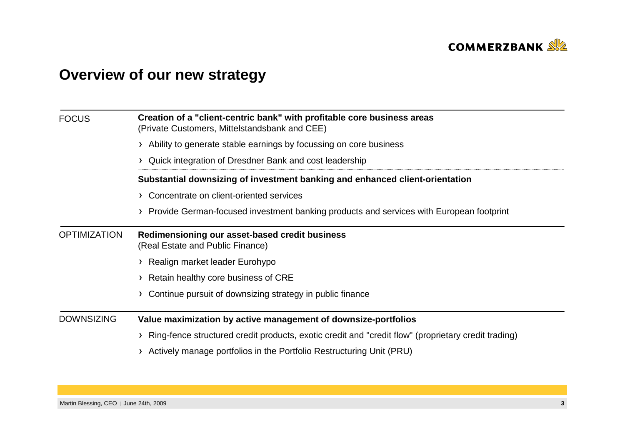

# **Overview of our new strategy**

| <b>FOCUS</b>        | Creation of a "client-centric bank" with profitable core business areas<br>(Private Customers, Mittelstandsbank and CEE) |  |  |  |  |  |  |
|---------------------|--------------------------------------------------------------------------------------------------------------------------|--|--|--|--|--|--|
|                     | > Ability to generate stable earnings by focussing on core business                                                      |  |  |  |  |  |  |
|                     | Quick integration of Dresdner Bank and cost leadership                                                                   |  |  |  |  |  |  |
|                     | Substantial downsizing of investment banking and enhanced client-orientation                                             |  |  |  |  |  |  |
|                     | > Concentrate on client-oriented services                                                                                |  |  |  |  |  |  |
|                     | Provide German-focused investment banking products and services with European footprint                                  |  |  |  |  |  |  |
| <b>OPTIMIZATION</b> | Redimensioning our asset-based credit business<br>(Real Estate and Public Finance)                                       |  |  |  |  |  |  |
|                     | > Realign market leader Eurohypo                                                                                         |  |  |  |  |  |  |
|                     | Retain healthy core business of CRE                                                                                      |  |  |  |  |  |  |
|                     | Continue pursuit of downsizing strategy in public finance                                                                |  |  |  |  |  |  |
| <b>DOWNSIZING</b>   | Value maximization by active management of downsize-portfolios                                                           |  |  |  |  |  |  |
|                     | Ring-fence structured credit products, exotic credit and "credit flow" (proprietary credit trading)                      |  |  |  |  |  |  |
|                     | Actively manage portfolios in the Portfolio Restructuring Unit (PRU)                                                     |  |  |  |  |  |  |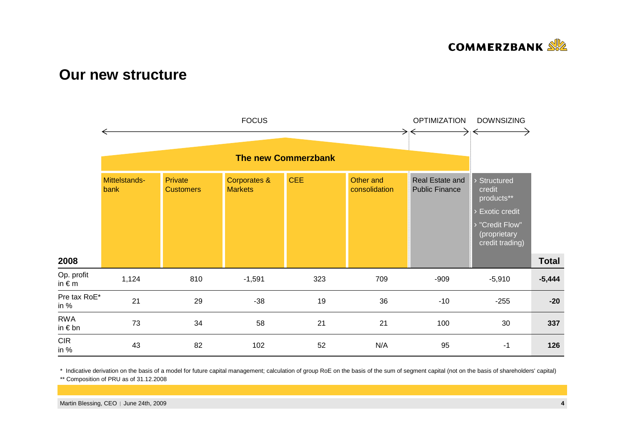

### **Our new structure**



\* Indicative derivation on the basis of a model for future capital management; calculation of group RoE on the basis of the sum of segment capital (not on the basis of shareholders' capital)

\*\* Composition of PRU as of 31.12.2008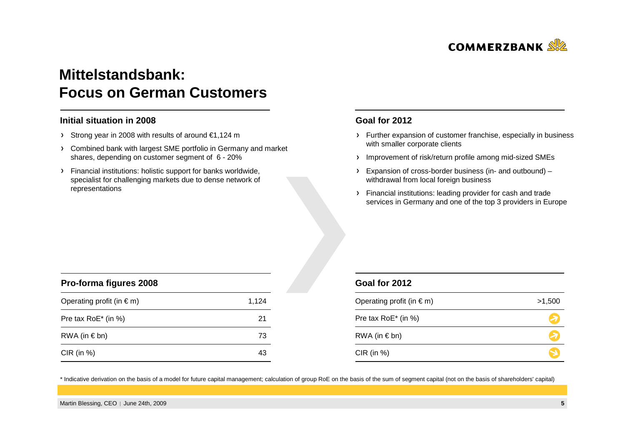

## **Mittelstandsbank: Focus on German Customers**

#### **Initial situation in 2008**

- Strong year in 2008 with results of around €1,124 m
- Combined bank with largest SME portfolio in Germany and market shares, depending on customer segment of 6 - 20%
- Financial institutions: holistic support for banks worldwide, specialist for challenging markets due to dense network of representations

#### **Goal for <sup>2012</sup>**

- Further expansion of customer franchise, especially in business with smaller corporate clients
- Improvement of risk/return profile among mid-sized SMEs
- Expansion of cross-border business (in- and outbound) –withdrawal from local foreign business
- Financial institutions: leading provider for cash and trade services in Germany and one of the top 3 providers in Europe

| Pro-forma figures 2008             |       |  |
|------------------------------------|-------|--|
| Operating profit (in $\epsilon$ m) | 1,124 |  |
| Pre tax RoE* (in %)                | 21    |  |
| $RWA$ (in $\in$ bn)                | 73    |  |
| $CIR$ (in %)                       | 43    |  |

#### **Goal for 2012**

| Operating profit (in $\epsilon$ m) | >1,500 |
|------------------------------------|--------|
| Pre tax RoE* (in %)                |        |
| RWA (in $\notin$ bn)               |        |
| $CIR$ (in %)                       |        |

\* Indicative derivation on the basis of a model for future capital management; calculation of group RoE on the basis of the sum of segment capital (not on the basis of shareholders' capital)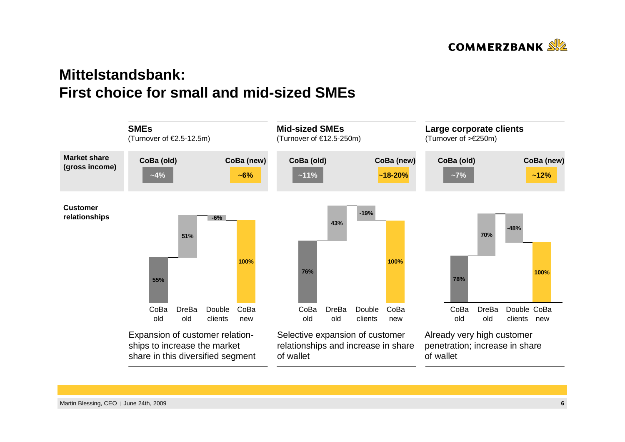

## **Mittelstandsbank: First choice for small and mid-sized SMEs**

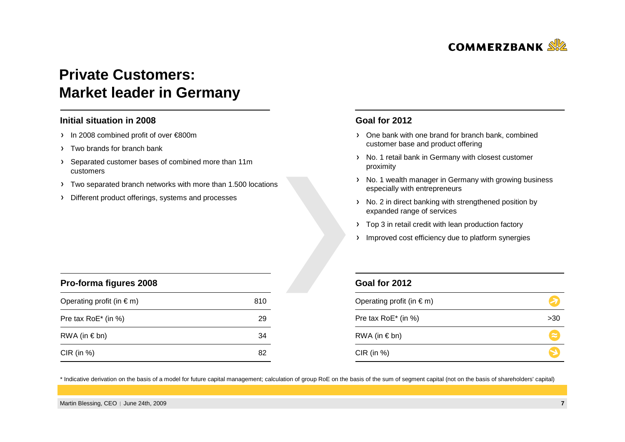

## **Private Customers: Market leader in Germany**

#### **Initial situation in 2008**

- In 2008 combined profit of over €800m
- Two brands for branch bank

**Pro-forma figures 2008**

- Separated customer bases of combined more than 11m customers
- Two separated branch networks with more than 1.500 locations
- Different product offerings, systems and processes

#### **Goal for <sup>2012</sup>**

- One bank with one brand for branch bank, combined customer base and product offering
- > No. 1 retail bank in Germany with closest customer proximity
- > No. 1 wealth manager in Germany with growing business especially with entrepreneurs
- No. 2 in direct banking with strengthened position by expanded range of services
- > Top 3 in retail credit with lean production factory
- > Improved cost efficiency due to platform synergies

| Pro-forma ligures zuud             |     |  |
|------------------------------------|-----|--|
| Operating profit (in $\epsilon$ m) | 810 |  |
| Pre tax RoE* (in %)                | 29  |  |
| RWA (in $\in$ bn)                  | -34 |  |
| CIR (in $%$ )                      | 82  |  |

#### **Goal for 2012**

| Operating profit (in $\epsilon$ m) |           |
|------------------------------------|-----------|
| Pre tax RoE* (in %)                | >30       |
| RWA (in $\in$ bn)                  | $\approx$ |
| $CIR$ (in %)                       |           |

\* Indicative derivation on the basis of a model for future capital management; calculation of group RoE on the basis of the sum of segment capital (not on the basis of shareholders' capital)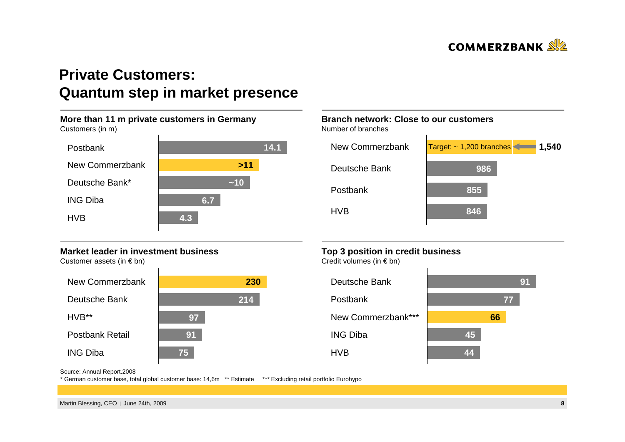

## **Private Customers: Quantum step in market presence**



#### **Market leader in investment business**

Customer assets (in  $\epsilon$  bn)



### **Branch network: Close to our customers**

Number of branches



### **Top 3 position in credit business**

Credit volumes (in  $\in$  bn)



Source: Annual Report.2008

\* German customer base, total global customer base: 14,6m \*\* Estimate \*\*\* Excluding retail portfolio Eurohypo

Martin Blessing, CEO | June 24th, 2009 **<sup>8</sup>**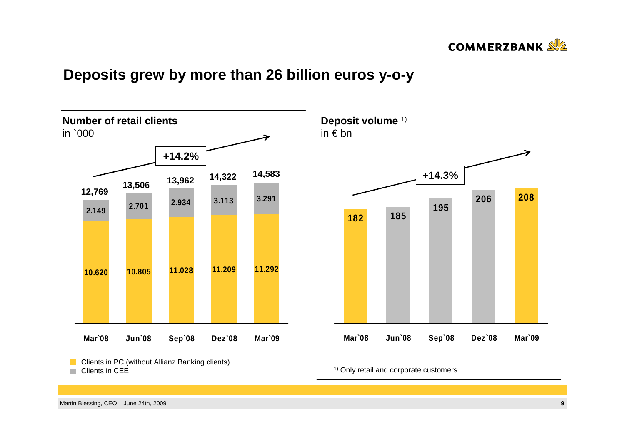

## **Deposits grew by more than 26 billion euros y-o-y**



Clients in CEE $\sim$ 

<sup>1)</sup> Only retail and corporate customers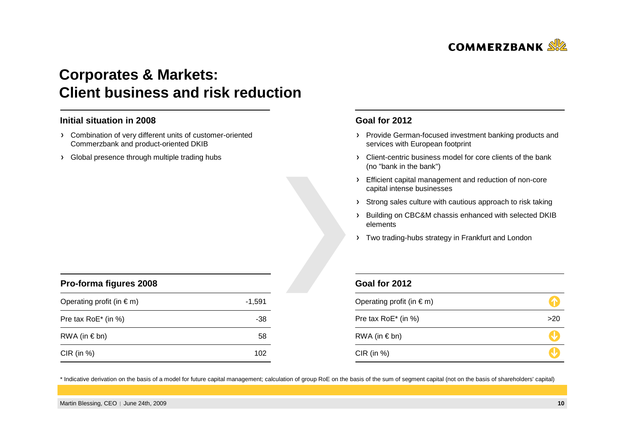

## **Corporates & Markets: Client business and risk reduction**

<sup>102</sup>

 $\sim$  -38

 $RWA$  (in  $\in$  bn) 58

#### **Initial situation in 2008**

- Combination of very different units of customer-oriented Commerzbank and product-oriented DKIB
- > Global presence through multiple trading hubs

#### **Goal for <sup>2012</sup>**

- > Provide German-focused investment banking products and services with European footprint
- Client-centric business model for core clients of the bank (no "bank in the bank")
- Efficient capital management and reduction of non-core capital intense businesses
- Strong sales culture with cautious approach to risk taking
- > Building on CBC&M chassis enhanced with selected DKIB elements
- > Two trading-hubs strategy in Frankfurt and London

| $-1,591$ |  |
|----------|--|

#### **Goal for 2012**

| Operating profit (in $\epsilon$ m) |     |
|------------------------------------|-----|
| Pre tax RoE* (in %)                | >20 |
| RWA (in $\notin$ bn)               |     |
| $CIR$ (in %)                       |     |

\* Indicative derivation on the basis of a model for future capital management; calculation of group RoE on the basis of the sum of segment capital (not on the basis of shareholders' capital)

CIR (in %)

Pre tax RoE\* (in %)

Operating profit (in  $\epsilon$  m)

**Pro-forma figures 2008**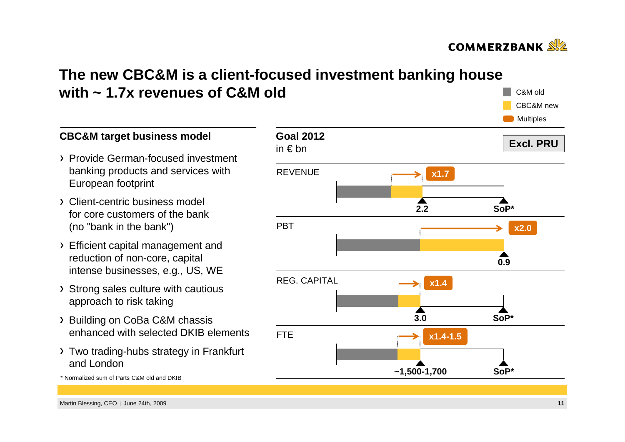

C&M oldCBC&M new

## **The new CBC&M is a client-focused investment banking house with ~ 1.7x revenues of C&M old**

**Goal 2012**in € bn**Excl. PRU**REVENUE**PRT** REG. CAPITALFTE **Multiples 2.20.93.0~1,500-1,700x1.7x2.0SoP\*x1.4SoP\*SoP\*x1.4-1.5**

### **CBC&M target business model**

- Provide German-focused investment banking products and services with European footprint
- Client-centric business model for core customers of the bank (no "bank in the bank")
- Efficient capital management and reduction of non-core, capital intense businesses, e.g., US, WE
- > Strong sales culture with cautious approach to risk taking
- > Building on CoBa C&M chassis enhanced with selected DKIB elements
- Two trading-hubs strategy in Frankfurt and London

**<sup>11</sup>**

<sup>\*</sup> Normalized sum of Parts C&M old and DKIB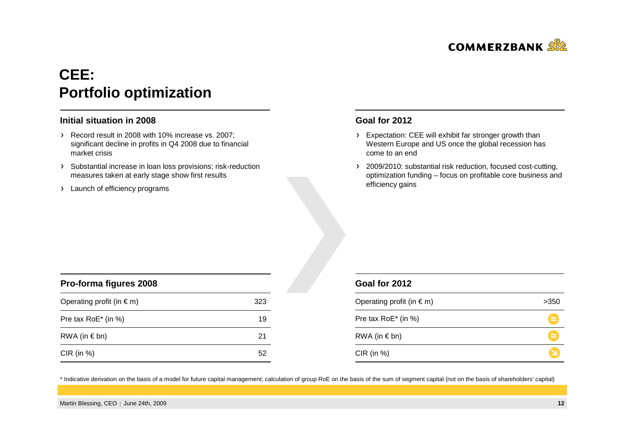

# **CEE: Portfolio optimization**

#### **Initial situation in 2008**

- Record result in 2008 with 10% increase vs. 2007; significant decline in profits in Q4 2008 due to financial market crisis
- > Substantial increase in loan loss provisions; risk-reduction measures taken at early stage show first results
- > Launch of efficiency programs

#### **Goal for <sup>2012</sup>**

- Expectation: CEE will exhibit far stronger growth than Western Europe and US once the global recession hascome to an end
- > 2009/2010: substantial risk reduction, focused cost-cutting, optimization funding – focus on profitable core business and efficiency gains

| Pro-forma figures 2008             |     |  |
|------------------------------------|-----|--|
| Operating profit (in $\epsilon$ m) | 323 |  |
| Pre tax RoE* (in %)                | 19  |  |
| RWA (in $\notin$ bn)               | 21  |  |
| $CIR$ (in %)                       | 51  |  |

| Goal for 2012                 |  |
|-------------------------------|--|
| Operating profit (in $\in$ m) |  |

| Operating profit (in $\epsilon$ m) | >350      |
|------------------------------------|-----------|
| Pre tax RoE* (in %)                | $\approx$ |
| RWA (in $\notin$ bn)               | $\approx$ |
| $CIR$ (in %)                       |           |

\* Indicative derivation on the basis of a model for future capital management; calculation of group RoE on the basis of the sum of segment capital (not on the basis of shareholders' capital)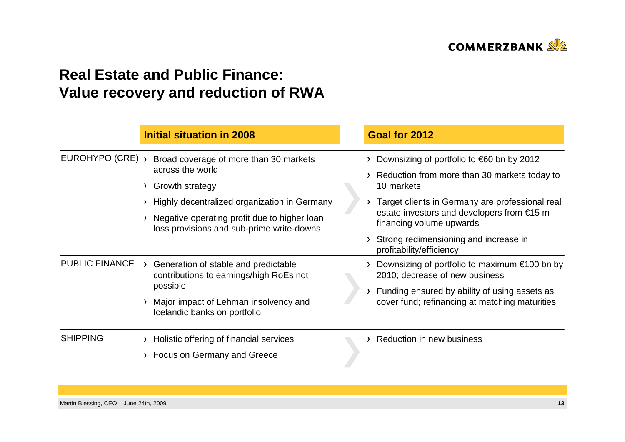

## **Real Estate and Public Finance: Value recovery and reduction of RWA**

|                       |        | <b>Initial situation in 2008</b>                                                                                                                                                                                           |  | Goal for 2012                                                                                                                                                                                                                                                                                                                 |
|-----------------------|--------|----------------------------------------------------------------------------------------------------------------------------------------------------------------------------------------------------------------------------|--|-------------------------------------------------------------------------------------------------------------------------------------------------------------------------------------------------------------------------------------------------------------------------------------------------------------------------------|
| EUROHYPO (CRE) >      | $\sum$ | Broad coverage of more than 30 markets<br>across the world<br>Growth strategy<br>Highly decentralized organization in Germany<br>Negative operating profit due to higher loan<br>loss provisions and sub-prime write-downs |  | Downsizing of portfolio to $\epsilon$ 60 bn by 2012<br>Reduction from more than 30 markets today to<br>10 markets<br>Target clients in Germany are professional real<br>estate investors and developers from $\epsilon$ 15 m<br>financing volume upwards<br>Strong redimensioning and increase in<br>profitability/efficiency |
| <b>PUBLIC FINANCE</b> |        | Generation of stable and predictable<br>contributions to earnings/high RoEs not<br>possible<br>Major impact of Lehman insolvency and<br>Icelandic banks on portfolio                                                       |  | Downsizing of portfolio to maximum $\epsilon$ 100 bn by<br>2010; decrease of new business<br>Funding ensured by ability of using assets as<br>cover fund; refinancing at matching maturities                                                                                                                                  |
| <b>SHIPPING</b>       |        | Holistic offering of financial services<br>> Focus on Germany and Greece                                                                                                                                                   |  | Reduction in new business                                                                                                                                                                                                                                                                                                     |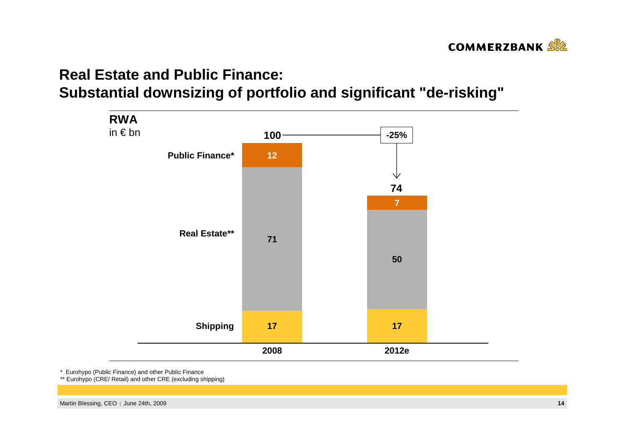

# **Real Estate and Public Finance:Substantial downsizing of portfolio and significant "de-risking"**



\* Eurohypo (Public Finance) and other Public Finance

\*\* Eurohypo (CRE/ Retail) and other CRE (excluding shipping)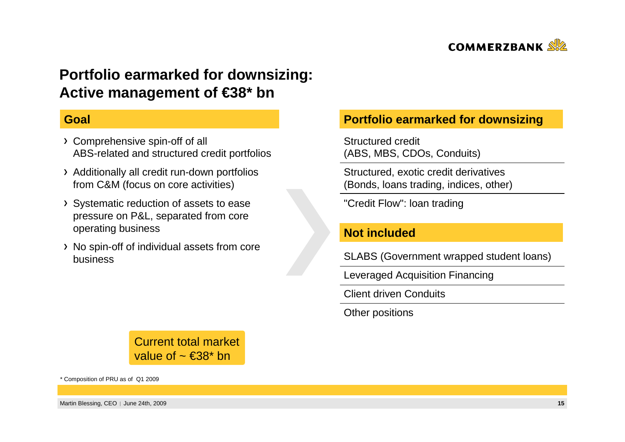

## **Portfolio earmarked for downsizing: Active management of €38\* bn**

### **Goal**

- Comprehensive spin-off of all ABS-related and structured credit portfolios
- Additionally all credit run-down portfolios from C&M (focus on core activities)
- Systematic reduction of assets to ease pressure on P&L, separated from core operating business
- No spin-off of individual assets from core business

### **Portfolio earmarked for downsizing**

Structured credit(ABS, MBS, CDOs, Conduits)

Structured, exotic credit derivatives (Bonds, loans trading, indices, other)

"Credit Flow": loan trading

### **Not included**

SLABS (Government wrapped student loans)

Leveraged Acquisition Financing

Client driven Conduits

Other positions

Current total market value of  $\sim \epsilon 38$ \* bn

\* Composition of PRU as of Q1 2009

Martin Blessing, CEO | June 24th, 2009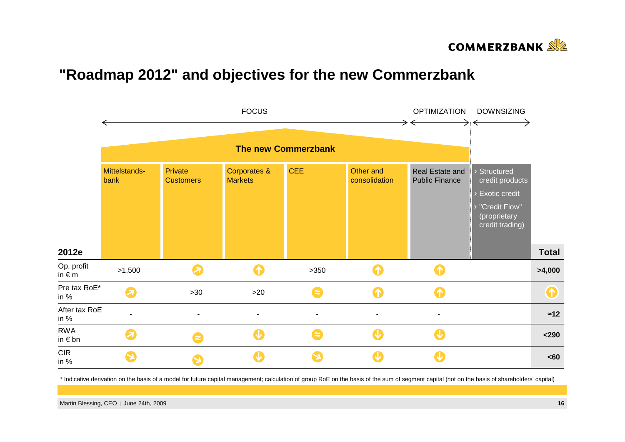

### **"Roadmap 2012" and objectives for the new Commerzbank**



\* Indicative derivation on the basis of a model for future capital management; calculation of group RoE on the basis of the sum of segment capital (not on the basis of shareholders' capital)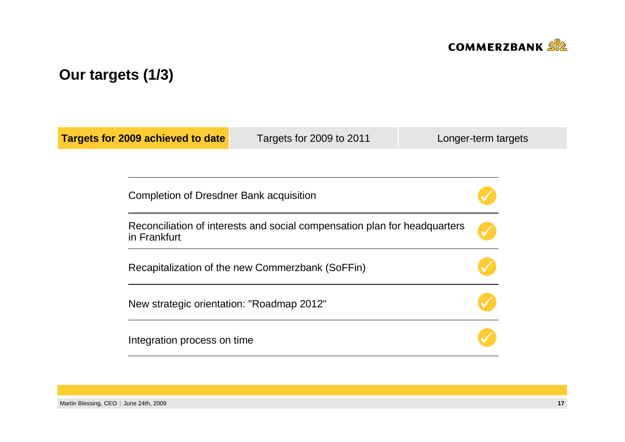

# **Our targets (1/3)**

| <b>Targets for 2009 achieved to date</b><br>Targets for 2009 to 2011                      | Longer-term targets                                                                                                                                                     |  |
|-------------------------------------------------------------------------------------------|-------------------------------------------------------------------------------------------------------------------------------------------------------------------------|--|
|                                                                                           |                                                                                                                                                                         |  |
|                                                                                           |                                                                                                                                                                         |  |
| Reconciliation of interests and social compensation plan for headquarters<br>in Frankfurt |                                                                                                                                                                         |  |
|                                                                                           |                                                                                                                                                                         |  |
|                                                                                           |                                                                                                                                                                         |  |
|                                                                                           |                                                                                                                                                                         |  |
|                                                                                           | Completion of Dresdner Bank acquisition<br>Recapitalization of the new Commerzbank (SoFFin)<br>New strategic orientation: "Roadmap 2012"<br>Integration process on time |  |

Martin Blessing, CEO | June 24th, 2009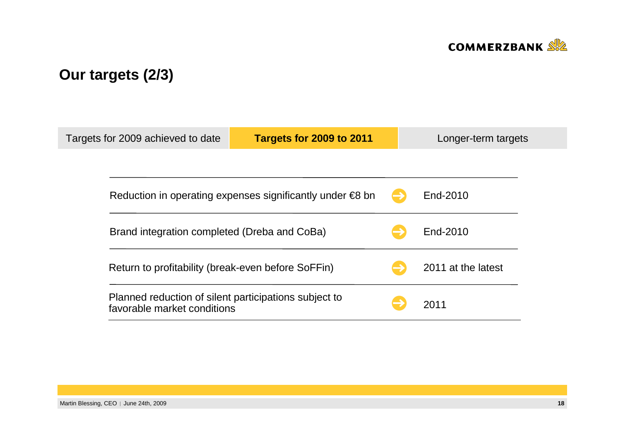

# **Our targets (2/3)**

| Targets for 2009 achieved to date                                                    | Targets for 2009 to 2011                                            |  | Longer-term targets |  |
|--------------------------------------------------------------------------------------|---------------------------------------------------------------------|--|---------------------|--|
|                                                                                      |                                                                     |  |                     |  |
|                                                                                      | Reduction in operating expenses significantly under $\epsilon$ 8 bn |  | End-2010            |  |
|                                                                                      | Brand integration completed (Dreba and CoBa)                        |  | End-2010            |  |
| Return to profitability (break-even before SoFFin)                                   |                                                                     |  | 2011 at the latest  |  |
| Planned reduction of silent participations subject to<br>favorable market conditions |                                                                     |  | 2011                |  |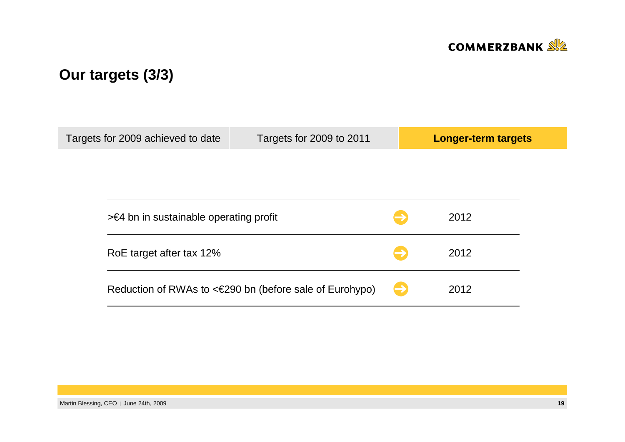

# **Our targets (3/3)**

| Targets for 2009 achieved to date | Targets for 2009 to 2011                                |  | Longer-term targets |  |
|-----------------------------------|---------------------------------------------------------|--|---------------------|--|
|                                   |                                                         |  |                     |  |
|                                   |                                                         |  |                     |  |
|                                   |                                                         |  |                     |  |
|                                   | $\geq$ 64 bn in sustainable operating profit            |  | 2012                |  |
| RoE target after tax 12%          |                                                         |  | 2012                |  |
|                                   | Reduction of RWAs to <€290 bn (before sale of Eurohypo) |  | 2012                |  |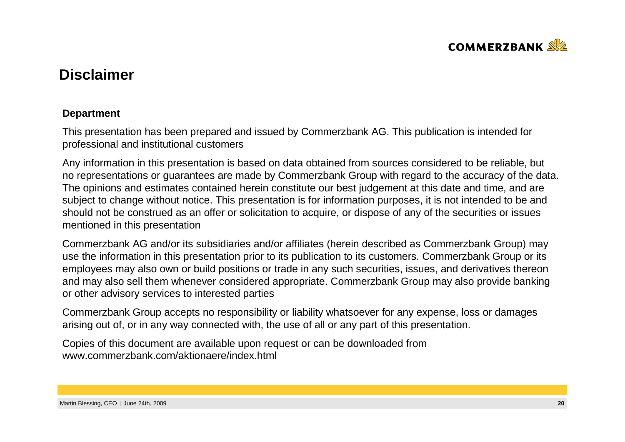

## **Disclaimer**

### **Department**

This presentation has been prepared and issued by Commerzbank AG. This publication is intended forprofessional and institutional customers

Any information in this presentation is based on data obtained from sources considered to be reliable, but no representations or guarantees are made by Commerzbank Group with regard to the accuracy of the data. The opinions and estimates contained herein constitute our best judgement at this date and time, and are subject to change without notice. This presentation is for information purposes, it is not intended to be and should not be construed as an offer or solicitation to acquire, or dispose of any of the securities or issuesmentioned in this presentation

Commerzbank AG and/or its subsidiaries and/or affiliates (herein described as Commerzbank Group) may use the information in this presentation prior to its publication to its customers. Commerzbank Group or its employees may also own or build positions or trade in any such securities, issues, and derivatives thereon and may also sell them whenever considered appropriate. Commerzbank Group may also provide bankingor other advisory services to interested parties

Commerzbank Group accepts no responsibility or liability whatsoever for any expense, loss or damagesarising out of, or in any way connected with, the use of all or any part of this presentation.

Copies of this document are available upon request or can be downloaded fromwww.commerzbank.com/aktionaere/index.html